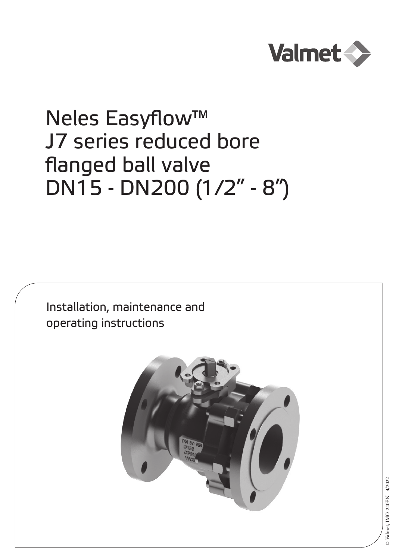

# Neles Easyflow™ J7 series reduced bore flanged ball valve DN15 - DN200 (1/2" - 8")

Installation, maintenance and operating instructions

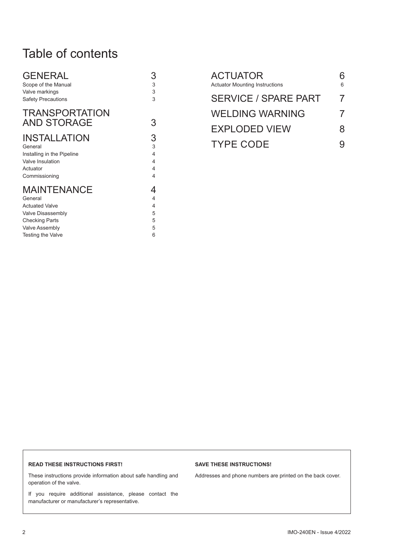### Table of contents

| <b>GENERAL</b>                              | 3 |
|---------------------------------------------|---|
| Scope of the Manual                         | 3 |
| Valve markings                              | 3 |
| <b>Safety Precautions</b>                   | 3 |
| <b>TRANSPORTATION</b><br><b>AND STORAGE</b> | 3 |
| <b>INSTALLATION</b>                         | 3 |
| General                                     | 3 |
| Installing in the Pipeline                  | 4 |
| Valve Insulation                            | 4 |
| Actuator                                    | 4 |
| Commissioning                               | 4 |
| <b>MAINTENANCE</b>                          | 4 |
| General                                     | 4 |
| <b>Actuated Valve</b>                       | 4 |
| Valve Disassembly                           | 5 |
| <b>Checking Parts</b>                       | 5 |
| <b>Valve Assembly</b>                       | 5 |
| Testing the Valve                           | 6 |

| <b>ACTUATOR</b><br><b>Actuator Mounting Instructions</b> | 6        |
|----------------------------------------------------------|----------|
| <b>SERVICE / SPARE PART</b>                              | 7        |
| <b>WELDING WARNING</b>                                   | $\prime$ |
| <b>EXPLODED VIEW</b>                                     | 8        |
| <b>TYPE CODE</b>                                         |          |

#### **READ THESE INSTRUCTIONS FIRST!**

These instructions provide information about safe handling and operation of the valve.

If you require additional assistance, please contact the manufacturer or manufacturer's representative.

#### **SAVE THESE INSTRUCTIONS!**

Addresses and phone numbers are printed on the back cover.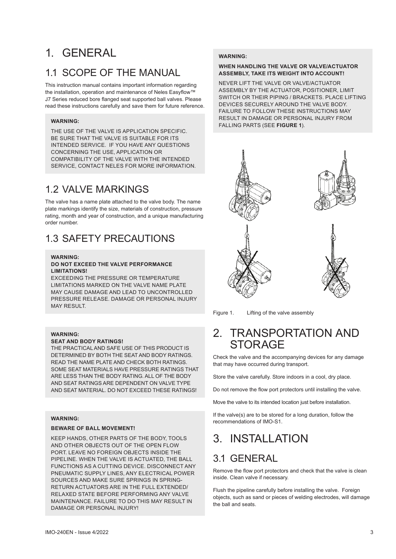### 1. GENERAL

### 1.1 SCOPE OF THE MANUAL

This instruction manual contains important information regarding the installation, operation and maintenance of Neles Easyflow™ J7 Series reduced bore flanged seat supported ball valves. Please read these instructions carefully and save them for future reference.

#### **WARNING:**

THE USE OF THE VALVE IS APPLICATION SPECIFIC. BE SURE THAT THE VALVE IS SUITABLE FOR ITS INTENDED SERVICE. IF YOU HAVE ANY QUESTIONS CONCERNING THE USE, APPLICATION OR COMPATIBILITY OF THE VALVE WITH THE INTENDED SERVICE, CONTACT NELES FOR MORE INFORMATION.

### 1.2 VALVE MARKINGS

The valve has a name plate attached to the valve body. The name plate markings identify the size, materials of construction, pressure rating, month and year of construction, and a unique manufacturing order number.

### 1.3 SAFETY PRECAUTIONS

### **WARNING:**

#### **DO NOT EXCEED THE VALVE PERFORMANCE LIMITATIONS!**

EXCEEDING THE PRESSURE OR TEMPERATURE LIMITATIONS MARKED ON THE VALVE NAME PLATE MAY CAUSE DAMAGE AND LEAD TO UNCONTROLLED PRESSURE RELEASE. DAMAGE OR PERSONAL INJURY MAY RESULT.

#### **WARNING:**

#### **SEAT AND BODY RATINGS!**

THE PRACTICAL AND SAFE USE OF THIS PRODUCT IS DETERMINED BY BOTH THE SEAT AND BODY RATINGS. READ THE NAME PLATE AND CHECK BOTH RATINGS. SOME SEAT MATERIALS HAVE PRESSURE RATINGS THAT ARE LESS THAN THE BODY RATING. ALL OF THE BODY AND SEAT RATINGS ARE DEPENDENT ON VALVE TYPE AND SEAT MATERIAL. DO NOT EXCEED THESE RATINGS!

#### **WARNING:**

#### **BEWARE OF BALL MOVEMENT!**

KEEP HANDS, OTHER PARTS OF THE BODY, TOOLS AND OTHER OBJECTS OUT OF THE OPEN FLOW PORT. LEAVE NO FOREIGN OBJECTS INSIDE THE PIPELINE. WHEN THE VALVE IS ACTUATED, THE BALL FUNCTIONS AS A CUTTING DEVICE. DISCONNECT ANY PNEUMATIC SUPPLY LINES, ANY ELECTRICAL POWER SOURCES AND MAKE SURE SPRINGS IN SPRING-RETURN ACTUATORS ARE IN THE FULL EXTENDED/ RELAXED STATE BEFORE PERFORMING ANY VALVE MAINTENANCE. FAILURE TO DO THIS MAY RESULT IN DAMAGE OR PERSONAL INJURY!

#### **WARNING:**

#### **WHEN HANDLING THE VALVE OR VALVE/ACTUATOR ASSEMBLY, TAKE ITS WEIGHT INTO ACCOUNT!**

NEVER LIFT THE VALVE OR VALVE/ACTUATOR ASSEMBLY BY THE ACTUATOR, POSITIONER, LIMIT SWITCH OR THEIR PIPING / BRACKETS. PLACE LIFTING DEVICES SECURELY AROUND THE VALVE BODY. FAILURE TO FOLLOW THESE INSTRUCTIONS MAY RESULT IN DAMAGE OR PERSONAL INJURY FROM FALLING PARTS (SEE **FIGURE 1**).



Figure 1. Lifting of the valve assembly

### 2. TRANSPORTATION AND STORAGE

Check the valve and the accompanying devices for any damage that may have occurred during transport.

Store the valve carefully. Store indoors in a cool, dry place.

Do not remove the flow port protectors until installing the valve.

Move the valve to its intended location just before installation.

If the valve(s) are to be stored for a long duration, follow the recommendations of IMO-S1.

### 3. INSTALLATION

### 3.1 GENERAL

Remove the flow port protectors and check that the valve is clean inside. Clean valve if necessary.

Flush the pipeline carefully before installing the valve. Foreign objects, such as sand or pieces of welding electrodes, will damage the ball and seats.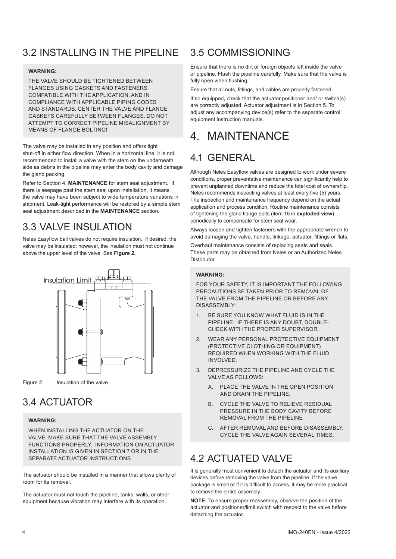### 3.2 INSTALLING IN THE PIPELINE

#### **WARNING:**

THE VALVE SHOULD BE TIGHTENED BETWEEN FLANGES USING GASKETS AND FASTENERS COMPATIBLE WITH THE APPLICATION, AND IN COMPLIANCE WITH APPLICABLE PIPING CODES AND STANDARDS. CENTER THE VALVE AND FLANGE GASKETS CAREFULLY BETWEEN FLANGES. DO NOT ATTEMPT TO CORRECT PIPELINE MISALIGNMENT BY MEANS OF FLANGE BOLTING!

The valve may be installed in any position and offers tight shut-off in either flow direction. When in a horizontal line, it is not recommended to install a valve with the stem on the underneath side as debris in the pipeline may enter the body cavity and damage the gland packing.

Refer to Section 4, **MAINTENANCE** for stem seal adjustment. If there is seepage past the stem seal upon installation, it means the valve may have been subject to wide temperature variations in shipment. Leak-tight performance will be restored by a simple stem seal adjustment described in the **MAINTENANCE** section.

### 3.3 VALVE INSULATION

Neles Easyflow ball valves do not require insulation. If desired, the valve may be insulated; however, the insulation must not continue above the upper level of the valve. See **Figure 2.**



Figure 2. Insulation of the valve

### 3.4 ACTUATOR

#### **WARNING:**

WHEN INSTALLING THE ACTUATOR ON THE VALVE, MAKE SURE THAT THE VALVE ASSEMBLY FUNCTIONS PROPERLY. INFORMATION ON ACTUATOR INSTALLATION IS GIVEN IN SECTION 7 OR IN THE SEPARATE ACTUATOR INSTRUCTIONS.

The actuator should be installed in a manner that allows plenty of room for its removal.

The actuator must not touch the pipeline, tanks, walls, or other equipment because vibration may interfere with its operation.

### 3.5 COMMISSIONING

Ensure that there is no dirt or foreign objects left inside the valve or pipeline. Flush the pipeline carefully. Make sure that the valve is fully open when flushing.

Ensure that all nuts, fittings, and cables are properly fastened.

If so equipped, check that the actuator positioner and/ or switch(s) are correctly adjusted. Actuator adjustment is in Section 5. To adjust any accompanying device(s) refer to the separate control equipment instruction manuals.

### 4. MAINTENANCE

### 4.1 GENERAL

Although Neles Easyflow valves are designed to work under severe conditions, proper preventative maintenance can significantly help to prevent unplanned downtime and reduce the total cost of ownership. Neles recommends inspecting valves at least every five (5) years. The inspection and maintenance frequency depend on the actual application and process condition. Routine maintenance consists of tightening the gland flange bolts (item 16 in **exploded view**) periodically to compensate for stem seal wear.

Always loosen and tighten fasteners with the appropriate wrench to avoid damaging the valve, handle, linkage, actuator, fittings or flats.

Overhaul maintenance consists of replacing seats and seals. These parts may be obtained from Neles or an Authorized Neles **Distributor** 

### **WARNING:**

FOR YOUR SAFETY, IT IS IMPORTANT THE FOLLOWING PRECAUTIONS BE TAKEN PRIOR TO REMOVAL OF THE VALVE FROM THE PIPELINE OR BEFORE ANY DISASSEMBLY:

- 1. BE SURE YOU KNOW WHAT FLUID IS IN THE PIPELINE. IF THERE IS ANY DOUBT, DOUBLE-CHECK WITH THE PROPER SUPERVISOR.
- 2. WEAR ANY PERSONAL PROTECTIVE EQUIPMENT (PROTECTIVE CLOTHING OR EQUIPMENT) REQUIRED WHEN WORKING WITH THE FLUID INVOLVED.
- 3. DEPRESSURIZE THE PIPELINE AND CYCLE THE VALVE AS FOLLOWS:
	- A. PLACE THE VALVE IN THE OPEN POSITION AND DRAIN THE PIPELINE.
	- B. CYCLE THE VALVE TO RELIEVE RESIDUAL PRESSURE IN THE BODY CAVITY BEFORE REMOVAL FROM THE PIPELINE
	- C. AFTER REMOVAL AND BEFORE DISASSEMBLY, CYCLE THE VALVE AGAIN SEVERAL TIMES.

### 4.2 ACTUATED VALVE

It is generally most convenient to detach the actuator and its auxiliary devices before removing the valve from the pipeline. If the valve package is small or if it is difficult to access, it may be more practical to remove the entire assembly.

**NOTE:** To ensure proper reassembly, observe the position of the actuator and positioner/limit switch with respect to the valve before detaching the actuator.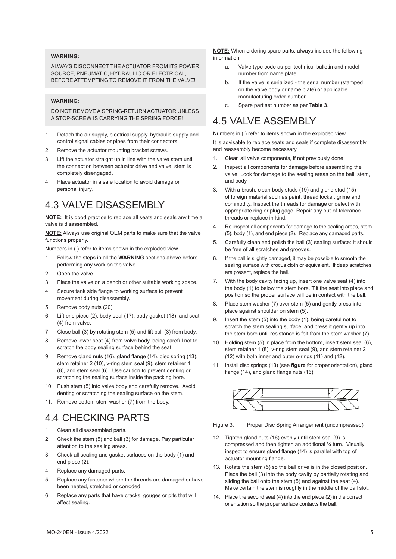#### **WARNING:**

ALWAYS DISCONNECT THE ACTUATOR FROM ITS POWER SOURCE, PNEUMATIC, HYDRAULIC OR ELECTRICAL BEFORE ATTEMPTING TO REMOVE IT FROM THE VALVE!

#### **WARNING:**

DO NOT REMOVE A SPRING-RETURN ACTUATOR UNLESS A STOP-SCREW IS CARRYING THE SPRING FORCE!

- 1. Detach the air supply, electrical supply, hydraulic supply and control signal cables or pipes from their connectors.
- 2. Remove the actuator mounting bracket screws.
- 3. Lift the actuator straight up in line with the valve stem until the connection between actuator drive and valve stem is completely disengaged.
- 4. Place actuator in a safe location to avoid damage or personal injury.

### 4.3 VALVE DISASSEMBLY

**NOTE:** It is good practice to replace all seats and seals any time a valve is disassembled.

**NOTE:** Always use original OEM parts to make sure that the valve functions properly.

Numbers in ( ) refer to items shown in the exploded view

- 1. Follow the steps in all the **WARNING** sections above before performing any work on the valve.
- 2. Open the valve.
- 3. Place the valve on a bench or other suitable working space.
- 4. Secure tank side flange to working surface to prevent movement during disassembly.
- 5. Remove body nuts (20).
- 6. Lift end piece (2), body seal (17), body gasket (18), and seat (4) from valve.
- 7. Close ball (3) by rotating stem (5) and lift ball (3) from body.
- 8. Remove lower seat (4) from valve body, being careful not to scratch the body sealing surface behind the seat.
- 9. Remove gland nuts (16), gland flange (14), disc spring (13), stem retainer 2 (10), v-ring stem seal (9), stem retainer 1 (8), and stem seal (6). Use caution to prevent denting or scratching the sealing surface inside the packing bore.
- 10. Push stem (5) into valve body and carefully remove. Avoid denting or scratching the sealing surface on the stem.
- 11. Remove bottom stem washer (7) from the body.

### 4.4 CHECKING PARTS

- 1. Clean all disassembled parts.
- 2. Check the stem (5) and ball (3) for damage. Pay particular attention to the sealing areas.
- 3. Check all sealing and gasket surfaces on the body (1) and end piece (2).
- 4. Replace any damaged parts.
- 5. Replace any fastener where the threads are damaged or have been heated, stretched or corroded.
- 6. Replace any parts that have cracks, gouges or pits that will affect sealing.

**NOTE:** When ordering spare parts, always include the following information:

- a. Valve type code as per technical bulletin and model number from name plate,
- b. If the valve is serialized the serial number (stamped on the valve body or name plate) or applicable manufacturing order number,
- c. Spare part set number as per **Table 3**.

### 4.5 VALVE ASSEMBLY

Numbers in ( ) refer to items shown in the exploded view.

It is advisable to replace seats and seals if complete disassembly and reassembly become necessary.

- 1. Clean all valve components, if not previously done.
- 2. Inspect all components for damage before assembling the valve. Look for damage to the sealing areas on the ball, stem, and body.
- 3. With a brush, clean body studs (19) and gland stud (15) of foreign material such as paint, thread locker, grime and commodity. Inspect the threads for damage or defect with appropriate ring or plug gage. Repair any out-of-tolerance threads or replace in-kind.
- 4. Re-inspect all components for damage to the sealing areas, stem (5), body (1), and end piece (2). Replace any damaged parts.
- 5. Carefully clean and polish the ball (3) sealing surface: It should be free of all scratches and grooves.
- 6. If the ball is slightly damaged, it may be possible to smooth the sealing surface with crocus cloth or equivalent. If deep scratches are present, replace the ball.
- 7. With the body cavity facing up, insert one valve seat (4) into the body (1) to below the stem bore. Tilt the seat into place and position so the proper surface will be in contact with the ball.
- 8. Place stem washer (7) over stem (5) and gently press into place against shoulder on stem (5).
- 9. Insert the stem (5) into the body (1), being careful not to scratch the stem sealing surface; and press it gently up into the stem bore until resistance is felt from the stem washer (7).
- 10. Holding stem (5) in place from the bottom, insert stem seal (6), stem retainer 1 (8), v-ring stem seal (9), and stem retainer 2 (12) with both inner and outer o-rings (11) and (12).
- 11. Install disc springs (13) (see **figure** for proper orientation), gland flange (14), and gland flange nuts (16).



Figure 3. Proper Disc Spring Arrangement (uncompressed)

- 12. Tighten gland nuts (16) evenly until stem seal (9) is compressed and then tighten an additional ¼ turn. Visually inspect to ensure gland flange (14) is parallel with top of actuator mounting flange.
- 13. Rotate the stem (5) so the ball drive is in the closed position. Place the ball (3) into the body cavity by partially rotating and sliding the ball onto the stem (5) and against the seat (4). Make certain the stem is roughly in the middle of the ball slot.
- 14. Place the second seat (4) into the end piece (2) in the correct orientation so the proper surface contacts the ball.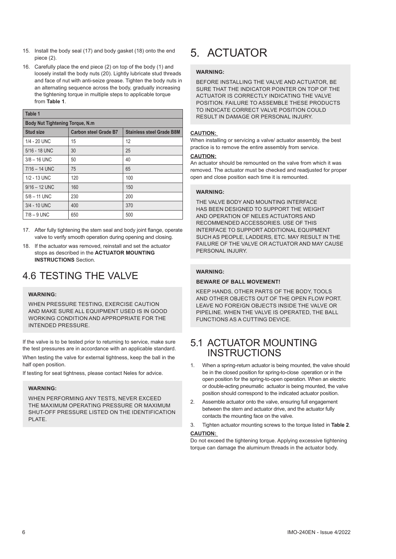- 15. Install the body seal (17) and body gasket (18) onto the end piece (2).
- 16. Carefully place the end piece (2) on top of the body (1) and loosely install the body nuts (20). Lightly lubricate stud threads and face of nut with anti-seize grease. Tighten the body nuts in an alternating sequence across the body, gradually increasing the tightening torque in multiple steps to applicable torque from **Table 1**.

| Table 1                                 |                              |                                  |  |  |
|-----------------------------------------|------------------------------|----------------------------------|--|--|
| <b>Body Nut Tightening Torque, N.m.</b> |                              |                                  |  |  |
| <b>Stud size</b>                        | <b>Carbon steel Grade B7</b> | <b>Stainless steel Grade B8M</b> |  |  |
| $1/4 - 20$ UNC                          | 15                           | 12                               |  |  |
| 5/16 - 18 UNC                           | 30                           | 25                               |  |  |
| $3/8 - 16$ UNC                          | 50                           | 40                               |  |  |
| $7/16 - 14$ UNC                         | 75                           | 65                               |  |  |
| 1/2 - 13 UNC                            | 120                          | 100                              |  |  |
| $9/16 - 12$ UNC                         | 160                          | 150                              |  |  |
| $5/8 - 11$ UNC                          | 230                          | 200                              |  |  |
| 3/4 - 10 UNC                            | 400                          | 370                              |  |  |
| $7/8 - 9$ UNC                           | 650                          | 500                              |  |  |

- 17. After fully tightening the stem seal and body joint flange, operate valve to verify smooth operation during opening and closing.
- 18. If the actuator was removed, reinstall and set the actuator stops as described in the **ACTUATOR MOUNTING INSTRUCTIONS** Section.

### 4.6 TESTING THE VALVE

#### **WARNING:**

WHEN PRESSURE TESTING, EXERCISE CAUTION AND MAKE SURE ALL EQUIPMENT USED IS IN GOOD WORKING CONDITION AND APPROPRIATE FOR THE INTENDED PRESSURE.

If the valve is to be tested prior to returning to service, make sure the test pressures are in accordance with an applicable standard.

When testing the valve for external tightness, keep the ball in the half open position.

If testing for seat tightness, please contact Neles for advice.

#### **WARNING:**

WHEN PERFORMING ANY TESTS, NEVER EXCEED THE MAXIMUM OPERATING PRESSURE OR MAXIMUM SHUT-OFF PRESSURE LISTED ON THE IDENTIFICATION PI ATF

## 5. ACTUATOR

#### **WARNING:**

BEFORE INSTALLING THE VALVE AND ACTUATOR, BE SURE THAT THE INDICATOR POINTER ON TOP OF THE ACTUATOR IS CORRECTLY INDICATING THE VALVE POSITION. FAILURE TO ASSEMBLE THESE PRODUCTS TO INDICATE CORRECT VALVE POSITION COULD RESULT IN DAMAGE OR PERSONAL INJURY.

#### **CAUTION:**

When installing or servicing a valve/ actuator assembly, the best practice is to remove the entire assembly from service.

#### **CAUTION:**

An actuator should be remounted on the valve from which it was removed. The actuator must be checked and readjusted for proper open and close position each time it is remounted.

#### **WARNING:**

THE VALVE BODY AND MOUNTING INTERFACE HAS BEEN DESIGNED TO SUPPORT THE WEIGHT AND OPERATION OF NELES ACTUATORS AND RECOMMENDED ACCESSORIES. USE OF THIS INTERFACE TO SUPPORT ADDITIONAL EQUIPMENT SUCH AS PEOPLE, LADDERS, ETC. MAY RESULT IN THE FAILURE OF THE VALVE OR ACTUATOR AND MAY CAUSE PERSONAL INJURY

#### **WARNING:**

#### **BEWARE OF BALL MOVEMENT!**

KEEP HANDS, OTHER PARTS OF THE BODY, TOOLS AND OTHER OBJECTS OUT OF THE OPEN FLOW PORT. LEAVE NO FOREIGN OBJECTS INSIDE THE VALVE OR PIPELINE. WHEN THE VALVE IS OPERATED, THE BALL FUNCTIONS AS A CUTTING DEVICE.

### 5.1 ACTUATOR MOUNTING INSTRUCTIONS

- 1. When a spring-return actuator is being mounted, the valve should be in the closed position for spring-to-close operation or in the open position for the spring-to-open operation. When an electric or double-acting pneumatic actuator is being mounted, the valve position should correspond to the indicated actuator position.
- 2. Assemble actuator onto the valve, ensuring full engagement between the stem and actuator drive, and the actuator fully contacts the mounting face on the valve.
- 3. Tighten actuator mounting screws to the torque listed in **Table 2**. **CAUTION:**

Do not exceed the tightening torque. Applying excessive tightening torque can damage the aluminum threads in the actuator body.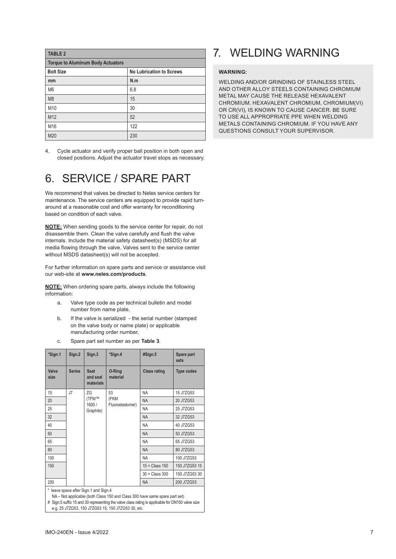| <b>TABLE 2</b>                           |                                 |  |  |
|------------------------------------------|---------------------------------|--|--|
| <b>Torque to Aluminum Body Actuators</b> |                                 |  |  |
| <b>Bolt Size</b>                         | <b>No Lubrication to Screws</b> |  |  |
| mm                                       | N.m                             |  |  |
| M <sub>6</sub>                           | 6.8                             |  |  |
| M <sub>8</sub>                           | 15                              |  |  |
| M10                                      | 30                              |  |  |
| M12                                      | 52                              |  |  |
| M16                                      | 122                             |  |  |
| M20                                      | 230                             |  |  |

4. Cycle actuator and verify proper ball position in both open and closed positions. Adjust the actuator travel stops as necessary.

### 6. SERVICE / SPARE PART

We recommend that valves be directed to Neles service centers for maintenance. The service centers are equipped to provide rapid turnaround at a reasonable cost and offer warranty for reconditioning based on condition of each valve.

**NOTE:** When sending goods to the service center for repair, do not disassemble them. Clean the valve carefully and flush the valve internals. Include the material safety datasheet(s) (MSDS) for all media flowing through the valve. Valves sent to the service center without MSDS datasheet(s) will not be accepted.

For further information on spare parts and service or assistance visit our web-site at **www.neles.com/products**.

**NOTE:** When ordering spare parts, always include the following information:

- a. Valve type code as per technical bulletin and model number from name plate,
- b. If the valve is serialized the serial number (stamped on the valve body or name plate) or applicable manufacturing order number,
- c. Spare part set number as per **Table 3**.

| *Sign.1                                                                                                              | Sign.2        | Sign.3                               | *Sign.4                  | #Sign.5             | Spare part<br>sets |
|----------------------------------------------------------------------------------------------------------------------|---------------|--------------------------------------|--------------------------|---------------------|--------------------|
| Valve<br>size                                                                                                        | <b>Series</b> | <b>Seat</b><br>and seal<br>materials | O-Ring<br>material       | <b>Class rating</b> | <b>Type codes</b>  |
| 15                                                                                                                   | J7            | 7G                                   | 53                       | <b>NA</b>           | 15 J7ZG53          |
| 20                                                                                                                   |               | (TFM™<br>1600/                       | (FKM<br>Fluoroelastomer) | <b>NA</b>           | 20 J7ZG53          |
| 25                                                                                                                   |               | Graphite)                            |                          | <b>NA</b>           | 25 J7ZG53          |
| 32                                                                                                                   |               |                                      |                          | <b>NA</b>           | 32 J7ZG53          |
| 40                                                                                                                   |               |                                      |                          | <b>NA</b>           | 40 J7ZG53          |
| 50                                                                                                                   |               |                                      |                          | <b>NA</b>           | 50 J7ZG53          |
| 65                                                                                                                   |               |                                      |                          | <b>NA</b>           | 65 J7ZG53          |
| 80                                                                                                                   |               |                                      |                          | <b>NA</b>           | 80 J7ZG53          |
| 100                                                                                                                  |               |                                      |                          | <b>NA</b>           | 100 J7ZG53         |
| 150                                                                                                                  |               |                                      |                          | $15 = Class 150$    | 150 J7ZG53 15      |
|                                                                                                                      |               |                                      |                          | $30 = Class 300$    | 150 J7ZG53 30      |
| 200                                                                                                                  |               |                                      |                          | <b>NA</b>           | 200 J7ZG53         |
| * leave space after Sign.1 and Sign.4<br>NA - Not applicable (both Class 150 and Class 300 have same spare part set) |               |                                      |                          |                     |                    |

# Sign.5 suffix 15 and 30 representing the valve class rating is applicable for DN150 valve size

7. WELDING WARNING

#### **WARNING:**

WELDING AND/OR GRINDING OF STAINLESS STEEL AND OTHER ALLOY STEELS CONTAINING CHROMIUM METAL MAY CAUSE THE RELEASE HEXAVALENT CHROMIUM. HEXAVALENT CHROMIUM, CHROMIUM(VI) OR CR(VI), IS KNOWN TO CAUSE CANCER. BE SURE TO USE ALL APPROPRIATE PPE WHEN WELDING METALS CONTAINING CHROMIUM. IF YOU HAVE ANY QUESTIONS CONSULT YOUR SUPERVISOR.

e.g. 25 J7ZG53, 150 J7ZG53 15, 150 J7ZG53 30, etc.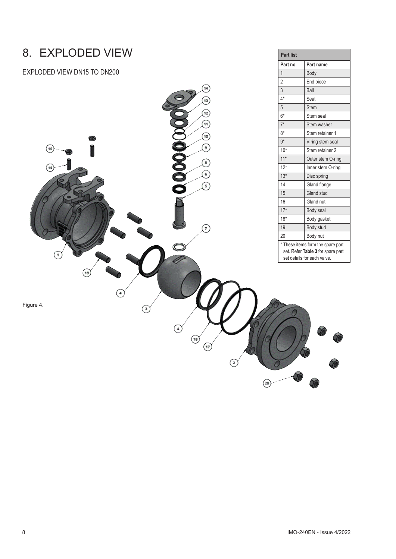### 8. EXPLODED VIEW

EXPLODED VIEW DN15 TO DN200



**Part list**

**Part no. Part name**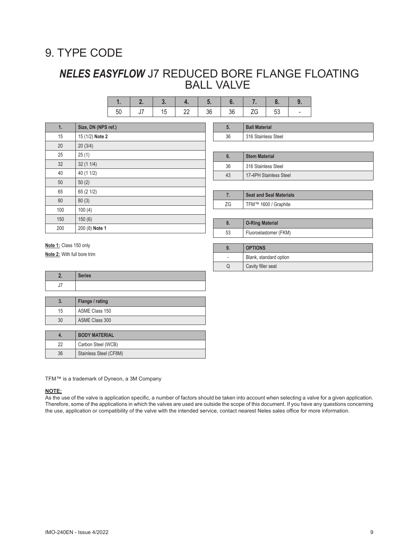### 9. TYPE CODE

### *NELES EASYFLOW* J7 REDUCED BORE FLANGE FLOATING BALL VALVE

|  | $\cdot$ | $25 -$ |  |  |
|--|---------|--------|--|--|

| 1.  | Size, DN (NPS ref.) | 5.      | <b>Ball Material</b>                                                                                                                                                                                                                                                                                                                  |
|-----|---------------------|---------|---------------------------------------------------------------------------------------------------------------------------------------------------------------------------------------------------------------------------------------------------------------------------------------------------------------------------------------|
| 15  | 15 (1/2) Note 2     | 36      | 316 Stainless Steel                                                                                                                                                                                                                                                                                                                   |
| 20  | 20(3/4)             |         |                                                                                                                                                                                                                                                                                                                                       |
| 25  | 25(1)               | 6.      | <b>Stem Material</b>                                                                                                                                                                                                                                                                                                                  |
| 32  | 32(11/4)            | 36      | 316 Stainless Steel                                                                                                                                                                                                                                                                                                                   |
| 40  | 40 (1 1/2)          | 43      | 17-4PH Stainless S                                                                                                                                                                                                                                                                                                                    |
| 50  | 50(2)               |         |                                                                                                                                                                                                                                                                                                                                       |
| 65  | 65 (2 1/2)          | 7.      | Seat and Seal Mate                                                                                                                                                                                                                                                                                                                    |
| 80  | 80(3)               | ZG      | TFM™ 1600 / Grap                                                                                                                                                                                                                                                                                                                      |
| 100 | 100(4)              |         |                                                                                                                                                                                                                                                                                                                                       |
| 150 | 150(6)              | 8.      |                                                                                                                                                                                                                                                                                                                                       |
| 200 | 200 (8) Note 1      | $-\sim$ | <b>O-Ring Material</b><br>$\mathbf{r}$ , $\mathbf{r}$ , $\mathbf{r}$ , $\mathbf{r}$ , $\mathbf{r}$ , $\mathbf{r}$ , $\mathbf{r}$ , $\mathbf{r}$ , $\mathbf{r}$ , $\mathbf{r}$ , $\mathbf{r}$ , $\mathbf{r}$ , $\mathbf{r}$ , $\mathbf{r}$ , $\mathbf{r}$ , $\mathbf{r}$ , $\mathbf{r}$ , $\mathbf{r}$ , $\mathbf{r}$ , $\mathbf{r}$ , |
|     |                     |         |                                                                                                                                                                                                                                                                                                                                       |

| ხ. | <b>Stem Material</b>   |
|----|------------------------|
| 36 | 316 Stainless Steel    |
| 43 | 17-4PH Stainless Steel |
|    |                        |

|    | <b>Seat and Seal Materials</b> |
|----|--------------------------------|
| ZG | TFM™ 1600 / Graphite           |

**9. OPTIONS**

- **Blank**, standard option Q **Cavity filler seat** 

| <b>O-Ring Material</b> |
|------------------------|
| Fluoroelastomer (FKM)  |

**Note 1:** Class 150 only **Note 2:** With full bore trim

| $P = 1$<br>peries |
|-------------------|
|                   |

| J. | Flange / rating |
|----|-----------------|
| 15 | ASME Class 150  |
| 30 | ASME Class 300  |

|    | <b>BODY MATERIAL</b>   |
|----|------------------------|
| 22 | Carbon Steel (WCB)     |
| 36 | Stainless Steel (CF8M) |

TFM™ is a trademark of Dyneon, a 3M Company

#### **NOTE:**

As the use of the valve is application specific, a number of factors should be taken into account when selecting a valve for a given application. Therefore, some of the applications in which the valves are used are outside the scope of this document. If you have any questions concerning the use, application or compatibility of the valve with the intended service, contact nearest Neles sales office for more information.